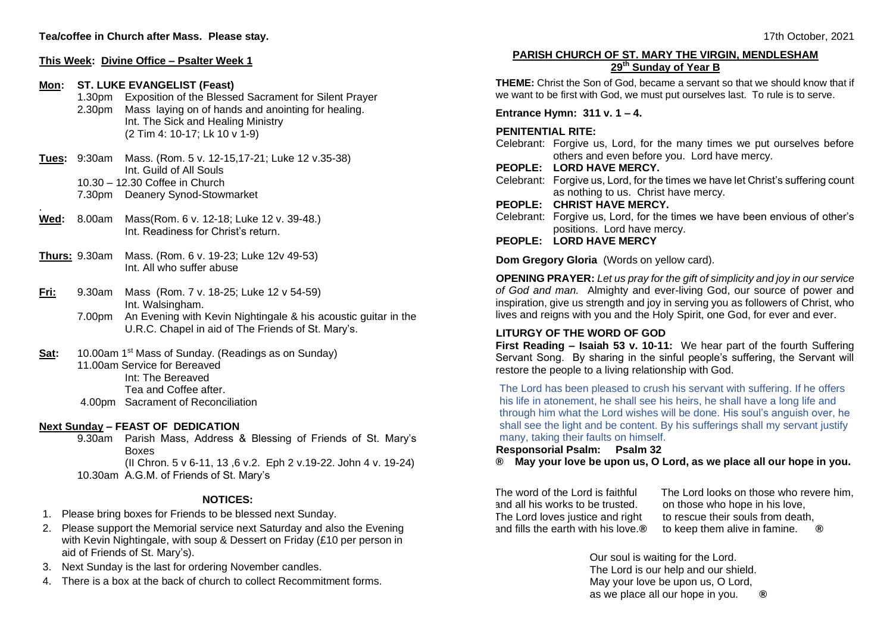# **This Week: Divine Office – Psalter Week 1 Mon: ST. LUKE EVANGELIST (Feast)** 1.30pm Exposition of the Blessed Sacrament for Silent Prayer 2.30pm Mass laying on of hands and anointing for healing. Int. The Sick and Healing Ministry (2 Tim 4: 10-17; Lk 10 v 1-9) **Tues:** 9:30am Mass. (Rom. 5 v. 12-15,17-21; Luke 12 v.35-38) Int. Guild of All Souls 10.30 – 12.30 Coffee in Church 7.30pm Deanery Synod-Stowmarket **Wed:** 8.00am Mass(Rom. 6 v. 12-18; Luke 12 v. 39-48.) Int. Readiness for Christ's return.

- **Thurs:** 9.30am Mass. (Rom. 6 v. 19-23; Luke 12v 49-53) Int. All who suffer abuse
- **Fri:** 9.30am Mass(Rom. 7 v. 18-25; Luke 12 v 54-59) Int. Walsingham.
	- 7.00pm An Evening with Kevin Nightingale & his acoustic guitar in the U.R.C. Chapel in aid of The Friends of St. Mary's.
- Sat: 10.00am 1<sup>st</sup> Mass of Sunday. (Readings as on Sunday) 11.00am Service for Bereaved Int: The Bereaved

Tea and Coffee after. 4.00pm Sacrament of Reconciliation

## **Next Sunday – FEAST OF DEDICATION**

.

9.30am Parish Mass, Address & Blessing of Friends of St. Mary's **Boxes** (II Chron. 5 v 6-11, 13 ,6 v.2. Eph 2 v.19-22. John 4 v. 19-24) 10.30am A.G.M. of Friends of St. Mary's

## **NOTICES:**

- 1. Please bring boxes for Friends to be blessed next Sunday.
- 2. Please support the Memorial service next Saturday and also the Evening with Kevin Nightingale, with soup & Dessert on Friday (£10 per person in aid of Friends of St. Mary's).
- 3. Next Sunday is the last for ordering November candles.
- 4. There is a box at the back of church to collect Recommitment forms.

### **PARISH CHURCH OF ST. MARY THE VIRGIN, MENDLESHAM 29th Sunday of Year B**

**THEME:** Christ the Son of God, became a servant so that we should know that if we want to be first with God, we must put ourselves last. To rule is to serve.

**Entrance Hymn: 311 v. 1 – 4.**

## **PENITENTIAL RITE:**

- Celebrant: Forgive us, Lord, for the many times we put ourselves before others and even before you. Lord have mercy.
- **PEOPLE: LORD HAVE MERCY.**
- Celebrant: Forgive us, Lord, for the times we have let Christ's suffering count as nothing to us. Christ have mercy.
- **PEOPLE: CHRIST HAVE MERCY.**
- Celebrant: Forgive us, Lord, for the times we have been envious of other's positions. Lord have mercy.
- **PEOPLE: LORD HAVE MERCY**

**Dom Gregory Gloria** (Words on yellow card).

**OPENING PRAYER:** *Let us pray for the gift of simplicity and joy in our service of God and man.* Almighty and ever-living God, our source of power and inspiration, give us strength and joy in serving you as followers of Christ, who lives and reigns with you and the Holy Spirit, one God, for ever and ever.

# **LITURGY OF THE WORD OF GOD**

**First Reading – Isaiah 53 v. 10-11:** We hear part of the fourth Suffering Servant Song. By sharing in the sinful people's suffering, the Servant will restore the people to a living relationship with God.

The Lord has been pleased to crush his servant with suffering. If he offers his life in atonement, he shall see his heirs, he shall have a long life and through him what the Lord wishes will be done. His soul's anguish over, he shall see the light and be content. By his sufferings shall my servant justify many, taking their faults on himself.

#### **Responsorial Psalm: Psalm 32**

**® May your love be upon us, O Lord, as we place all our hope in you.**

The word of the Lord is faithful and all his works to be trusted. The Lord loves justice and right and fills the earth with his love.**®** The Lord looks on those who revere him, on those who hope in his love, to rescue their souls from death, to keep them alive in famine. **®**

Our soul is waiting for the Lord. The Lord is our help and our shield. May your love be upon us, O Lord, as we place all our hope in you. **®**